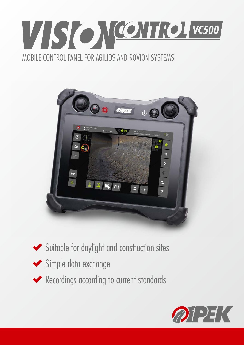## VSONCONTROLVC500 MOBILE CONTROL PANEL FOR AGILIOS AND ROVION SYSTEMS



- Suitable for daylight and construction sites
- Simple data exchange
- Recordings according to current standards